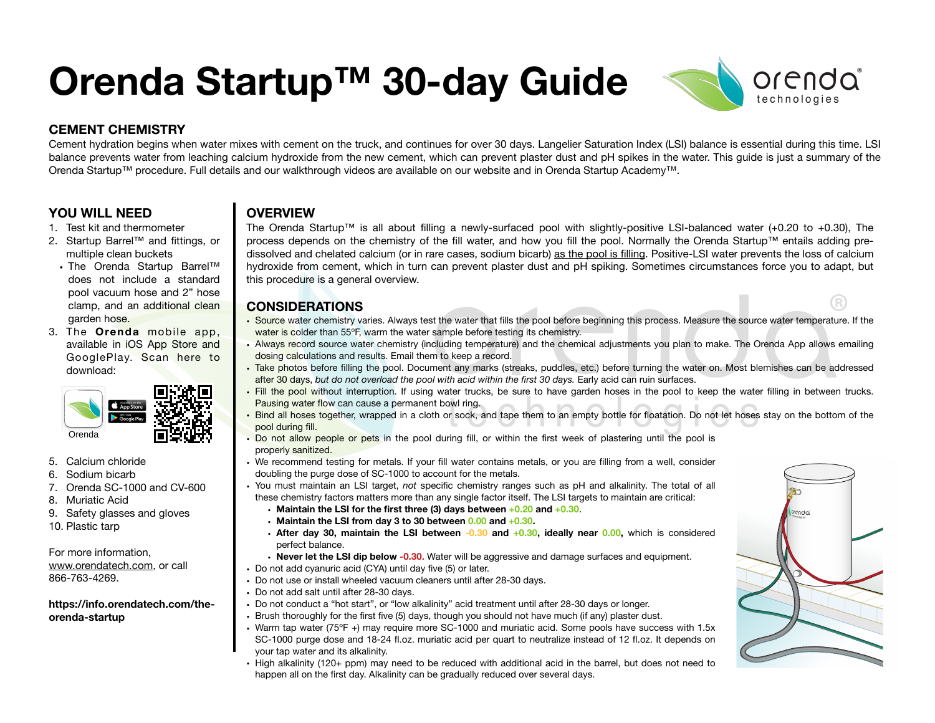# **Orenda Startup™ 30-day Guide**



## **CEMENT CHEMISTRY**

Cement hydration begins when water mixes with cement on the truck, and continues for over 30 days. Langelier Saturation Index (LSI) balance is essential during this time. LSI balance prevents water from leaching calcium hydroxide from the new cement, which can prevent plaster dust and pH spikes in the water. This guide is just a summary of the Orenda Startup™ procedure. Full details and our walkthrough videos are available on our website and in Orenda Startup Academy™.

## **YOU WILL NEED**

- 1. Test kit and thermometer
- 2. Startup Barrel™ and fittings, or multiple clean buckets
	- The Orenda Startup Barrel™ does not include a standard pool vacuum hose and 2" hose clamp, and an additional clean garden hose.
- 3. The **Orenda** mobile app, available in iOS App Store and GooglePlay. Scan here to download:



- 5. Calcium chloride
- 6. Sodium bicarb
- 7. Orenda SC-1000 and CV-600
- 8. Muriatic Acid
- 9. Safety glasses and gloves
- 10. Plastic tarp

## For more information,

[www.orendatech.com,](http://www.orendatech.com) or call 866-763-4269.

#### **https://info.orendatech.com/theorenda-startup**

## **OVERVIEW**

The Orenda Startup™ is all about filling a newly-surfaced pool with slightly-positive LSI-balanced water (+0.20 to +0.30), The process depends on the chemistry of the fill water, and how you fill the pool. Normally the Orenda Startup™ entails adding predissolved and chelated calcium (or in rare cases, sodium bicarb) as the pool is filling. Positive-LSI water prevents the loss of calcium hydroxide from cement, which in turn can prevent plaster dust and pH spiking. Sometimes circumstances force you to adapt, but this procedure is a general overview.

## **CONSIDERATIONS**

- Source water chemistry varies. Always test the water that fills the pool before beginning this process. Measure the source water temperature. If the water is colder than 55°F, warm the water sample before testing its chemistry.
- Always record source water chemistry (including temperature) and the chemical adjustments you plan to make. The Orenda App allows emailing dosing calculations and results. Email them to keep a record.
- Take photos before filling the pool. Document any marks (streaks, puddles, etc.) before turning the water on. Most blemishes can be addressed after 30 days, *but do not overload the pool with acid within the first 30 days.* Early acid can ruin surfaces.
- Fill the pool without interruption. If using water trucks, be sure to have garden hoses in the pool to keep the water filling in between trucks. Pausing water flow can cause a permanent bowl ring.
- Bind all hoses together, wrapped in a cloth or sock, and tape them to an empty bottle for floatation. Do not let hoses stay on the bottom of the pool during fill.
- Do not allow people or pets in the pool during fill, or within the first week of plastering until the pool is properly sanitized.
- We recommend testing for metals. If your fill water contains metals, or you are filling from a well, consider doubling the purge dose of SC-1000 to account for the metals.
- You must maintain an LSI target, *not* specific chemistry ranges such as pH and alkalinity. The total of all these chemistry factors matters more than any single factor itself. The LSI targets to maintain are critical:
	- **• Maintain the LSI for the first three (3) days between +0.20 and +0.30**.
	- **• Maintain the LSI from day 3 to 30 between 0.00 and +0.30.**
	- **• After day 30, maintain the LSI between -0.30 and +0.30, ideally near 0.00,** which is considered perfect balance.
- **• Never let the LSI dip below -0.30.** Water will be aggressive and damage surfaces and equipment.
- **•** Do not add cyanuric acid (CYA) until day five (5) or later.
- **•** Do not use or install wheeled vacuum cleaners until after 28-30 days.
- **•** Do not add salt until after 28-30 days.
- **•** Do not conduct a "hot start", or "low alkalinity" acid treatment until after 28-30 days or longer.
- **•** Brush thoroughly for the first five (5) days, though you should not have much (if any) plaster dust.
- **•** Warm tap water (75ºF +) may require more SC-1000 and muriatic acid. Some pools have success with 1.5x SC-1000 purge dose and 18-24 fl.oz. muriatic acid per quart to neutralize instead of 12 fl.oz. It depends on your tap water and its alkalinity.
- **•** High alkalinity (120+ ppm) may need to be reduced with additional acid in the barrel, but does not need to happen all on the first day. Alkalinity can be gradually reduced over several days.